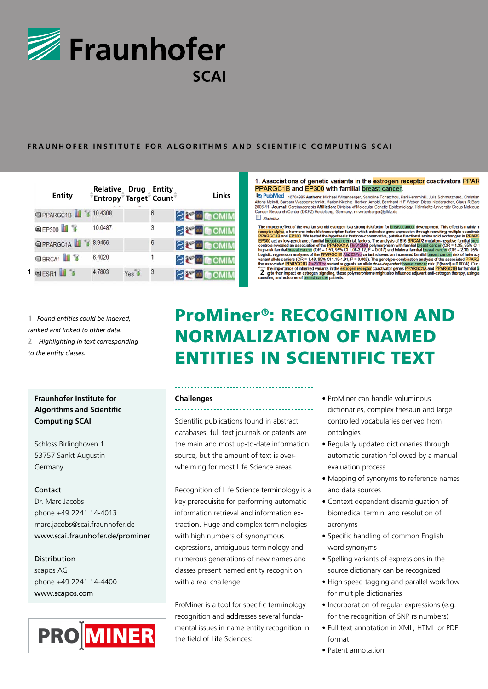

### FRAUNHOFER INSTITUTE FOR ALGORITHMS AND SCIENTIFIC COMPUTING SCAI

| Entity                           | Relative Drug Entity<br>Entropy <sup>®</sup> Target® Count® |       |   | <b>Links</b>           | 1. /<br>PP.<br>l۵۱<br>Alfon<br>2006 |
|----------------------------------|-------------------------------------------------------------|-------|---|------------------------|-------------------------------------|
| <b>OPPARGC1B</b>                 | 10.4308                                                     |       | 6 | <b>SEP &amp; COMIM</b> | Canc<br>□ :                         |
| @EP300 3                         | 10.0487                                                     |       | 3 | <b>SEP &amp; DOMIN</b> | <b>The</b>                          |
| <b>EPPARGC1A</b>                 | 8.9456                                                      |       | 6 | <b>SEP 4 GOMIM</b>     | rec<br>PP<br>EP<br>cor<br>hig       |
| <b>BRCA1</b>                     | 6.4020                                                      |       |   | <b>SEP 44 COMIM</b>    | Log<br>var                          |
| $1$ <b>Q</b> ESR1 $\blacksquare$ | 4.7803                                                      | Yes 1 | 3 | <b>SET COMIN</b>       | the<br>$\overline{2}$<br>i an       |

1. Associations of genetic variants in the estrogen receptor coactivators PPAR PPARGC1B and EP300 with familial breast cancer.

The PubMed 1874988 Authors: Michael Wirtenberger, Sandrine Tchatchurk, Kari Hemminki, Julia Schmutzhard, Christian<br>Alfons Meindl, Barbara Wappenschmidt, Marion Kiechle, Norbert Arnold, Bernhard H F Weber, Dieter Niederache  $\Box$  Statistics

**1** *Found entities could be indexed, ranked and linked to other data.* **2** *Highlighting in text corresponding to the entity classes.* 

### **Fraunhofer Institute for Algorithms and Scientific Computing SCAI**

Schloss Birlinghoven 1 53757 Sankt Augustin Germany

### **Contact**

Dr. Marc Jacobs phone +49 2241 14-4013 marc.jacobs@scai.fraunhofer.de www.scai.fraunhofer.de/prominer

### Distribution

scapos AG phone +49 2241 14-4400 www.scapos.com



# ProMiner®: RECOGNITION AND Normalization of Named Entities in Scientific Text

### **Challenges**

Scientific publications found in abstract databases, full text journals or patents are the main and most up-to-date information source, but the amount of text is overwhelming for most Life Science areas.

Recognition of Life Science terminology is a key prerequisite for performing automatic information retrieval and information extraction. Huge and complex terminologies with high numbers of synonymous expressions, ambiguous terminology and numerous generations of new names and classes present named entity recognition with a real challenge.

ProMiner is a tool for specific terminology recognition and addresses several fundamental issues in name entity recognition in the field of Life Sciences:

- ProMiner can handle voluminous dictionaries, complex thesauri and large controlled vocabularies derived from ontologies
- Regularly updated dictionaries through automatic curation followed by a manual evaluation process
- Mapping of synonyms to reference names and data sources
- Context dependent disambiguation of biomedical termini and resolution of acronyms
- Specific handling of common English word synonyms
- Spelling variants of expressions in the source dictionary can be recognized
- High speed tagging and parallel workflow for multiple dictionaries
- Incorporation of regular expressions (e.g. for the recognition of SNP rs numbers)
- Full text annotation in XML, HTML or PDF format
- Patent annotation